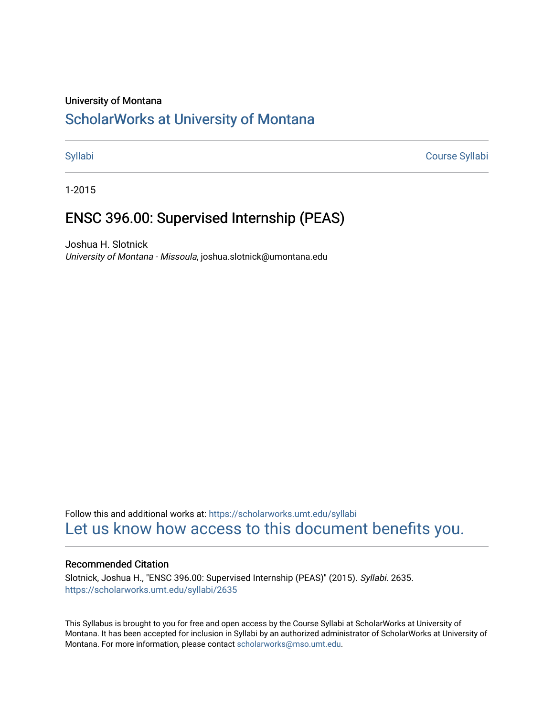# University of Montana

# [ScholarWorks at University of Montana](https://scholarworks.umt.edu/)

[Syllabi](https://scholarworks.umt.edu/syllabi) [Course Syllabi](https://scholarworks.umt.edu/course_syllabi) 

1-2015

# ENSC 396.00: Supervised Internship (PEAS)

Joshua H. Slotnick University of Montana - Missoula, joshua.slotnick@umontana.edu

Follow this and additional works at: [https://scholarworks.umt.edu/syllabi](https://scholarworks.umt.edu/syllabi?utm_source=scholarworks.umt.edu%2Fsyllabi%2F2635&utm_medium=PDF&utm_campaign=PDFCoverPages)  [Let us know how access to this document benefits you.](https://goo.gl/forms/s2rGfXOLzz71qgsB2) 

# Recommended Citation

Slotnick, Joshua H., "ENSC 396.00: Supervised Internship (PEAS)" (2015). Syllabi. 2635. [https://scholarworks.umt.edu/syllabi/2635](https://scholarworks.umt.edu/syllabi/2635?utm_source=scholarworks.umt.edu%2Fsyllabi%2F2635&utm_medium=PDF&utm_campaign=PDFCoverPages)

This Syllabus is brought to you for free and open access by the Course Syllabi at ScholarWorks at University of Montana. It has been accepted for inclusion in Syllabi by an authorized administrator of ScholarWorks at University of Montana. For more information, please contact [scholarworks@mso.umt.edu.](mailto:scholarworks@mso.umt.edu)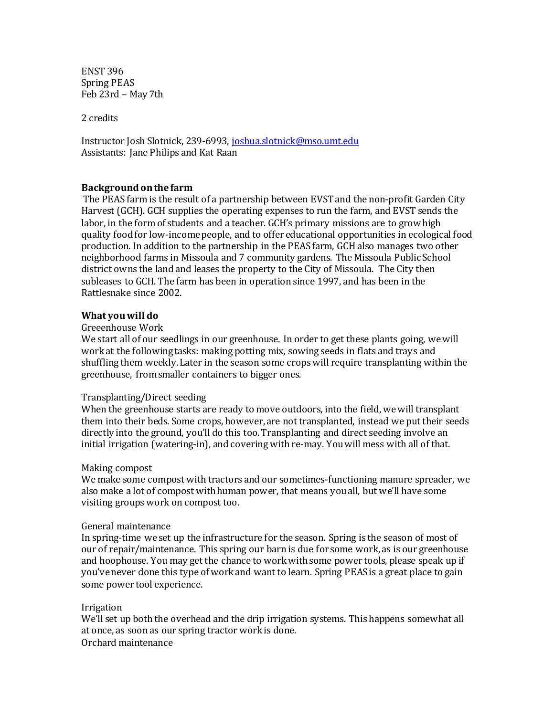ENST 396 Spring PEAS Feb 23rd – May 7th

2 credits

Instructor Josh Slotnick, 239-6993, [joshua.slotnick@mso.umt.edu](mailto:joshua.slotnick@mso.umt.edu) Assistants: Jane Philips and Kat Raan

# **Background on the farm**

The PEAS farm is the result of a partnership between EVST and the non-profit Garden City Harvest (GCH). GCH supplies the operating expenses to run the farm, and EVST sends the labor, in the form of students and a teacher. GCH's primary missions are to grow high quality food for low-income people, and to offer educational opportunities in ecological food production. In addition to the partnership in the PEAS farm, GCH also manages two other neighborhood farms in Missoula and 7 community gardens. The Missoula Public School district owns the land and leases the property to the City of Missoula. The City then subleases to GCH. The farm has been in operation since 1997, and has been in the Rattlesnake since 2002.

# **What you will do**

# Greeenhouse Work

We start all of our seedlings in our greenhouse. In order to get these plants going, we will work at the following tasks: making potting mix, sowing seeds in flats and trays and shuffling them weekly. Later in the season some crops will require transplanting within the greenhouse, from smaller containers to bigger ones.

# Transplanting/Direct seeding

When the greenhouse starts are ready to move outdoors, into the field, wewill transplant them into their beds. Some crops, however, are not transplanted, instead we put their seeds directly into the ground, you'll do this too. Transplanting and direct seeding involve an initial irrigation (watering-in), and covering with re-may. You will mess with all of that.

# Making compost

We make some compost with tractors and our sometimes-functioning manure spreader, we also make a lot of compost with human power, that means you all, but we'll have some visiting groups work on compost too.

#### General maintenance

In spring-time we set up the infrastructure for the season. Spring is the season of most of our of repair/maintenance. This spring our barn is due for some work, as is our greenhouse and hoophouse. You may get the chance to work with some power tools, please speak up if you've never done this type of work and want to learn. Spring PEAS is a great place to gain some power tool experience.

#### Irrigation

We'll set up both the overhead and the drip irrigation systems. This happens somewhat all at once, as soon as our spring tractor work is done. Orchard maintenance